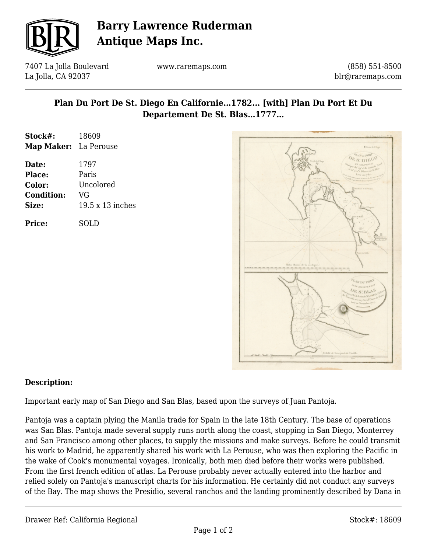

# **Barry Lawrence Ruderman Antique Maps Inc.**

7407 La Jolla Boulevard La Jolla, CA 92037

www.raremaps.com

(858) 551-8500 blr@raremaps.com

### **Plan Du Port De St. Diego En Californie…1782... [with] Plan Du Port Et Du Departement De St. Blas…1777…**

| Stock#:           | 18609            |
|-------------------|------------------|
| <b>Map Maker:</b> | La Perouse       |
| Date:             | 1797             |
| Place:            | Paris            |
| Color:            | Uncolored        |
| <b>Condition:</b> | VG               |
| Size:             | 19.5 x 13 inches |
| <b>Price:</b>     | SOLD             |



#### **Description:**

Important early map of San Diego and San Blas, based upon the surveys of Juan Pantoja.

Pantoja was a captain plying the Manila trade for Spain in the late 18th Century. The base of operations was San Blas. Pantoja made several supply runs north along the coast, stopping in San Diego, Monterrey and San Francisco among other places, to supply the missions and make surveys. Before he could transmit his work to Madrid, he apparently shared his work with La Perouse, who was then exploring the Pacific in the wake of Cook's monumental voyages. Ironically, both men died before their works were published. From the first french edition of atlas. La Perouse probably never actually entered into the harbor and relied solely on Pantoja's manuscript charts for his information. He certainly did not conduct any surveys of the Bay. The map shows the Presidio, several ranchos and the landing prominently described by Dana in